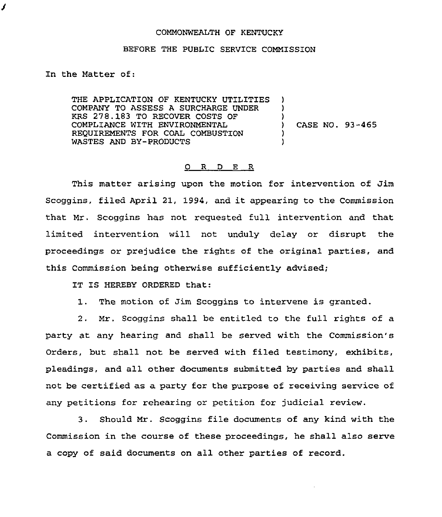## COMMONWEALTH OF KENTUCKY

## BEFORE THE PUBLIC SERVICE COMMISSION

In the Matter of:

J

THE APPLICATION OF KENTUCKY UTILITIES COMPANY TO ASSESS A SURCHARGE UNDER KRS 278.183 TO RECOVER COSTS OF COMPLIANCE WITH ENVIRONMENTAL REQUIREMENTS FOR COAL COMBUSTION WASTES AND BY-PRODUCTS ) ) ) ) CASE NO. 93-465 ) )

## 0 <sup>R</sup> <sup>D</sup> E R

This matter arising upon the motion for intervention of Jim Scoggins, filed April 21, 1994, and it appearing to the Commission that Mr. Scoggins has not reguested full intervention and that limited intervention will not unduly delay or disrupt the proceedings or prejudice the rights of the original parties, and this Commission being otherwise sufficiently advised;

IT IS HEREBY ORDERED that:

1. The motion of Jim Scoggins to intervene is granted.

2. Mr. Scoggins shall be entitled to the full rights of a party at any hearing and shall be served with the Commission's Orders, but shall not be served with filed testimony, exhibits, pleadings, and all other documents submitted by parties and shall not be certified as a party for the purpose of receiving service of any petitions for rehearing or petition for judicial review.

3. Should Mr. Scoggins file documents of any kind with the Commission in the course of these proceedings, he shall also serve a copy of said documents on all other parties of record.